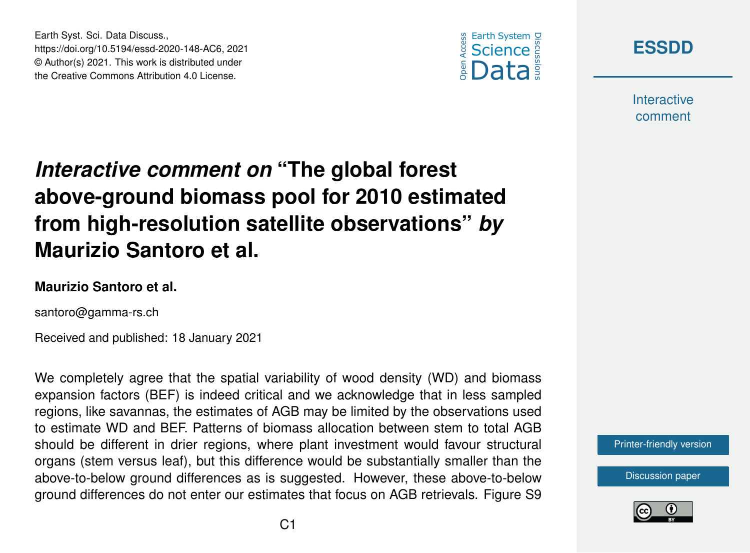



**Interactive** comment

## *Interactive comment on* **"The global forest above-ground biomass pool for 2010 estimated from high-resolution satellite observations"** *by* **Maurizio Santoro et al.**

## **Maurizio Santoro et al.**

Earth Syst. Sci. Data Discuss.,

https://doi.org/10.5194/essd-2020-148-AC6, 2021 © Author(s) 2021. This work is distributed under the Creative Commons Attribution 4.0 License.

santoro@gamma-rs.ch

Received and published: 18 January 2021

We completely agree that the spatial variability of wood density (WD) and biomass expansion factors (BEF) is indeed critical and we acknowledge that in less sampled regions, like savannas, the estimates of AGB may be limited by the observations used to estimate WD and BEF. Patterns of biomass allocation between stem to total AGB should be different in drier regions, where plant investment would favour structural organs (stem versus leaf), but this difference would be substantially smaller than the above-to-below ground differences as is suggested. However, these above-to-below ground differences do not enter our estimates that focus on AGB retrievals. Figure S9



[Discussion paper](https://essd.copernicus.org/preprints/essd-2020-148)